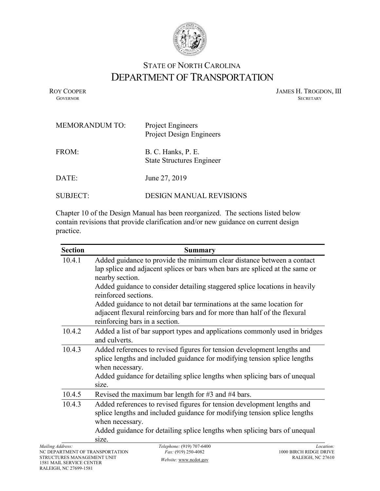

## STATE OF NORTH CAROLINA DEPARTMENT OF TRANSPORTATION

ROY COOPER JAMES H. TROGDON, III GOVERNOR SECRETARY GOVERNOR SECRETARY SECRETARY SECRETARY SECRETARY SECRETARY SECRETARY SECRETARY SECRETARY

| <b>MEMORANDUM TO:</b> | Project Engineers<br>Project Design Engineers          |
|-----------------------|--------------------------------------------------------|
| FROM:                 | B. C. Hanks, P. E.<br><b>State Structures Engineer</b> |
| DATE:                 | June 27, 2019                                          |
| <b>SUBJECT:</b>       | DESIGN MANUAL REVISIONS                                |

Chapter 10 of the Design Manual has been reorganized. The sections listed below contain revisions that provide clarification and/or new guidance on current design practice.

| <b>Section</b> | <b>Summary</b>                                                                                                                                                                                                                                                |
|----------------|---------------------------------------------------------------------------------------------------------------------------------------------------------------------------------------------------------------------------------------------------------------|
| 10.4.1         | Added guidance to provide the minimum clear distance between a contact<br>lap splice and adjacent splices or bars when bars are spliced at the same or<br>nearby section.                                                                                     |
|                | Added guidance to consider detailing staggered splice locations in heavily<br>reinforced sections.                                                                                                                                                            |
|                | Added guidance to not detail bar terminations at the same location for<br>adjacent flexural reinforcing bars and for more than half of the flexural<br>reinforcing bars in a section.                                                                         |
| 10.4.2         | Added a list of bar support types and applications commonly used in bridges<br>and culverts.                                                                                                                                                                  |
| 10.4.3         | Added references to revised figures for tension development lengths and<br>splice lengths and included guidance for modifying tension splice lengths<br>when necessary.<br>Added guidance for detailing splice lengths when splicing bars of unequal<br>size. |
| 10.4.5         | Revised the maximum bar length for $#3$ and $#4$ bars.                                                                                                                                                                                                        |
| 10.4.3         | Added references to revised figures for tension development lengths and<br>splice lengths and included guidance for modifying tension splice lengths<br>when necessary.<br>Added guidance for detailing splice lengths when splicing bars of unequal<br>size. |
| ddress:        | Telephone: (919) 707-6400<br>Locati                                                                                                                                                                                                                           |